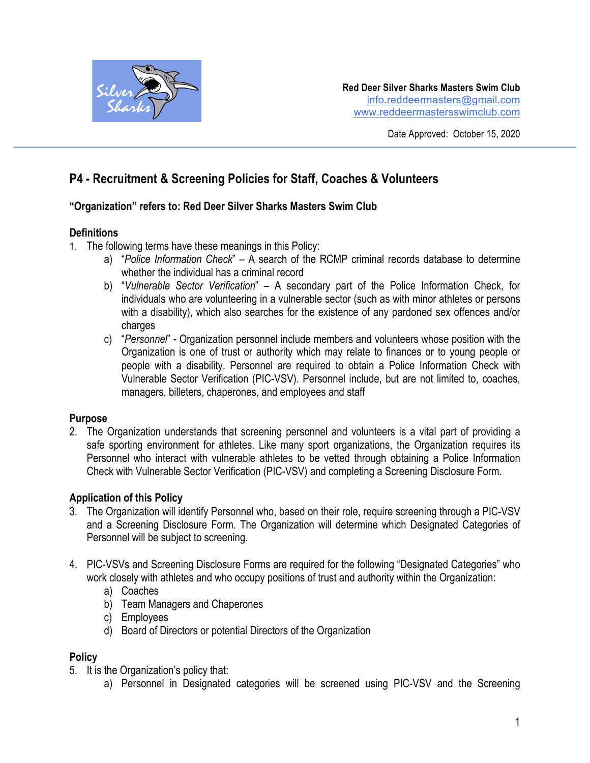

# **P4 - Recruitment & Screening Policies for Staff, Coaches & Volunteers**

#### **"Organization" refers to: Red Deer Silver Sharks Masters Swim Club**

#### **Definitions**

- 1. The following terms have these meanings in this Policy:
	- a) "*Police Information Check*" A search of the RCMP criminal records database to determine whether the individual has a criminal record
	- b) "*Vulnerable Sector Verification*" A secondary part of the Police Information Check, for individuals who are volunteering in a vulnerable sector (such as with minor athletes or persons with a disability), which also searches for the existence of any pardoned sex offences and/or charges
	- c) "*Personnel*" Organization personnel include members and volunteers whose position with the Organization is one of trust or authority which may relate to finances or to young people or people with a disability. Personnel are required to obtain a Police Information Check with Vulnerable Sector Verification (PIC-VSV). Personnel include, but are not limited to, coaches, managers, billeters, chaperones, and employees and staff

#### **Purpose**

2. The Organization understands that screening personnel and volunteers is a vital part of providing a safe sporting environment for athletes. Like many sport organizations, the Organization requires its Personnel who interact with vulnerable athletes to be vetted through obtaining a Police Information Check with Vulnerable Sector Verification (PIC-VSV) and completing a Screening Disclosure Form.

# **Application of this Policy**

- 3. The Organization will identify Personnel who, based on their role, require screening through a PIC-VSV and a Screening Disclosure Form. The Organization will determine which Designated Categories of Personnel will be subject to screening.
- 4. PIC-VSVs and Screening Disclosure Forms are required for the following "Designated Categories" who work closely with athletes and who occupy positions of trust and authority within the Organization:
	- a) Coaches
	- b) Team Managers and Chaperones
	- c) Employees
	- d) Board of Directors or potential Directors of the Organization

# **Policy**

- 5. It is the Organization's policy that:
	- a) Personnel in Designated categories will be screened using PIC-VSV and the Screening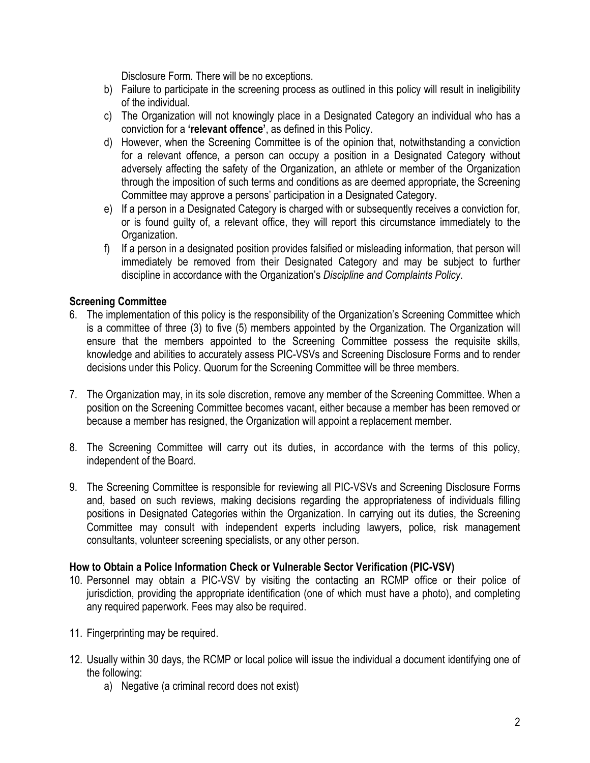Disclosure Form. There will be no exceptions.

- b) Failure to participate in the screening process as outlined in this policy will result in ineligibility of the individual.
- c) The Organization will not knowingly place in a Designated Category an individual who has a conviction for a **'relevant offence'**, as defined in this Policy.
- d) However, when the Screening Committee is of the opinion that, notwithstanding a conviction for a relevant offence, a person can occupy a position in a Designated Category without adversely affecting the safety of the Organization, an athlete or member of the Organization through the imposition of such terms and conditions as are deemed appropriate, the Screening Committee may approve a persons' participation in a Designated Category.
- e) If a person in a Designated Category is charged with or subsequently receives a conviction for, or is found guilty of, a relevant office, they will report this circumstance immediately to the Organization.
- f) If a person in a designated position provides falsified or misleading information, that person will immediately be removed from their Designated Category and may be subject to further discipline in accordance with the Organization's *Discipline and Complaints Policy*.

# **Screening Committee**

- 6. The implementation of this policy is the responsibility of the Organization's Screening Committee which is a committee of three (3) to five (5) members appointed by the Organization. The Organization will ensure that the members appointed to the Screening Committee possess the requisite skills, knowledge and abilities to accurately assess PIC-VSVs and Screening Disclosure Forms and to render decisions under this Policy. Quorum for the Screening Committee will be three members.
- 7. The Organization may, in its sole discretion, remove any member of the Screening Committee. When a position on the Screening Committee becomes vacant, either because a member has been removed or because a member has resigned, the Organization will appoint a replacement member.
- 8. The Screening Committee will carry out its duties, in accordance with the terms of this policy, independent of the Board.
- 9. The Screening Committee is responsible for reviewing all PIC-VSVs and Screening Disclosure Forms and, based on such reviews, making decisions regarding the appropriateness of individuals filling positions in Designated Categories within the Organization. In carrying out its duties, the Screening Committee may consult with independent experts including lawyers, police, risk management consultants, volunteer screening specialists, or any other person.

#### **How to Obtain a Police Information Check or Vulnerable Sector Verification (PIC-VSV)**

- 10. Personnel may obtain a PIC-VSV by visiting the contacting an RCMP office or their police of jurisdiction, providing the appropriate identification (one of which must have a photo), and completing any required paperwork. Fees may also be required.
- 11. Fingerprinting may be required.
- 12. Usually within 30 days, the RCMP or local police will issue the individual a document identifying one of the following:
	- a) Negative (a criminal record does not exist)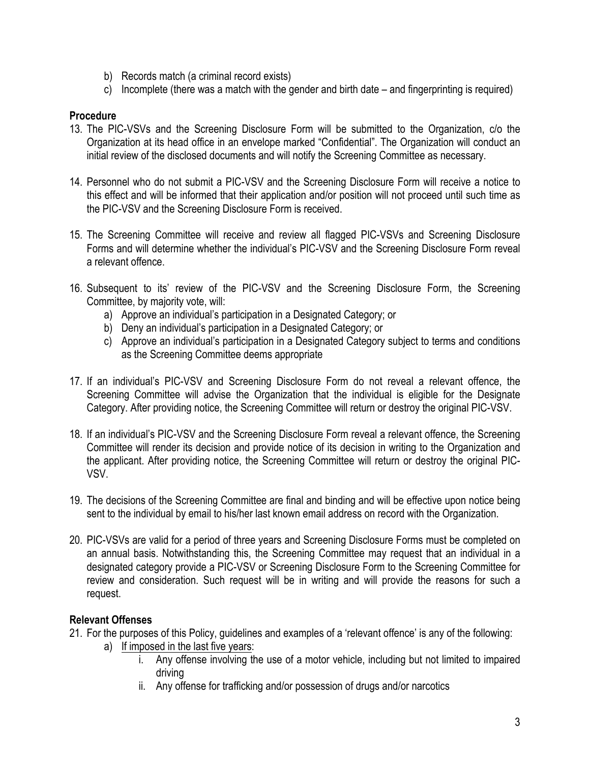- b) Records match (a criminal record exists)
- c) Incomplete (there was a match with the gender and birth date and fingerprinting is required)

### **Procedure**

- 13. The PIC-VSVs and the Screening Disclosure Form will be submitted to the Organization, c/o the Organization at its head office in an envelope marked "Confidential". The Organization will conduct an initial review of the disclosed documents and will notify the Screening Committee as necessary.
- 14. Personnel who do not submit a PIC-VSV and the Screening Disclosure Form will receive a notice to this effect and will be informed that their application and/or position will not proceed until such time as the PIC-VSV and the Screening Disclosure Form is received.
- 15. The Screening Committee will receive and review all flagged PIC-VSVs and Screening Disclosure Forms and will determine whether the individual's PIC-VSV and the Screening Disclosure Form reveal a relevant offence.
- 16. Subsequent to its' review of the PIC-VSV and the Screening Disclosure Form, the Screening Committee, by majority vote, will:
	- a) Approve an individual's participation in a Designated Category; or
	- b) Deny an individual's participation in a Designated Category; or
	- c) Approve an individual's participation in a Designated Category subject to terms and conditions as the Screening Committee deems appropriate
- 17. If an individual's PIC-VSV and Screening Disclosure Form do not reveal a relevant offence, the Screening Committee will advise the Organization that the individual is eligible for the Designate Category. After providing notice, the Screening Committee will return or destroy the original PIC-VSV.
- 18. If an individual's PIC-VSV and the Screening Disclosure Form reveal a relevant offence, the Screening Committee will render its decision and provide notice of its decision in writing to the Organization and the applicant. After providing notice, the Screening Committee will return or destroy the original PIC-VSV.
- 19. The decisions of the Screening Committee are final and binding and will be effective upon notice being sent to the individual by email to his/her last known email address on record with the Organization.
- 20. PIC-VSVs are valid for a period of three years and Screening Disclosure Forms must be completed on an annual basis. Notwithstanding this, the Screening Committee may request that an individual in a designated category provide a PIC-VSV or Screening Disclosure Form to the Screening Committee for review and consideration. Such request will be in writing and will provide the reasons for such a request.

# **Relevant Offenses**

- 21. For the purposes of this Policy, guidelines and examples of a 'relevant offence' is any of the following:
	- a) If imposed in the last five years:
		- i. Any offense involving the use of a motor vehicle, including but not limited to impaired driving
		- ii. Any offense for trafficking and/or possession of drugs and/or narcotics